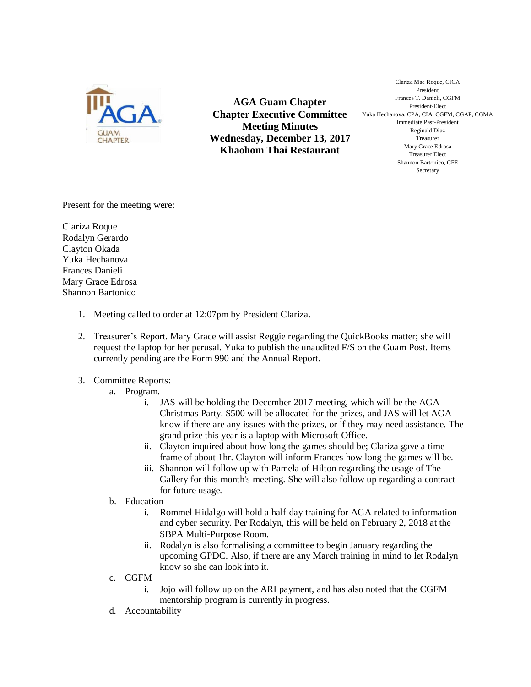

**AGA Guam Chapter Chapter Executive Committee Meeting Minutes Wednesday, December 13, 2017 Khaohom Thai Restaurant**

Clariza Mae Roque, CICA President Frances T. Danieli, CGFM President-Elect Yuka Hechanova, CPA, CIA, CGFM, CGAP, CGMA Immediate Past-President Reginald Diaz Treasurer Mary Grace Edrosa Treasurer Elect Shannon Bartonico, CFE Secretary

Present for the meeting were:

Clariza Roque Rodalyn Gerardo Clayton Okada Yuka Hechanova Frances Danieli Mary Grace Edrosa Shannon Bartonico

- 1. Meeting called to order at 12:07pm by President Clariza.
- 2. Treasurer's Report. Mary Grace will assist Reggie regarding the QuickBooks matter; she will request the laptop for her perusal. Yuka to publish the unaudited F/S on the Guam Post. Items currently pending are the Form 990 and the Annual Report.
- 3. Committee Reports:
	- a. Program.
		- i. JAS will be holding the December 2017 meeting, which will be the AGA Christmas Party. \$500 will be allocated for the prizes, and JAS will let AGA know if there are any issues with the prizes, or if they may need assistance. The grand prize this year is a laptop with Microsoft Office.
		- ii. Clayton inquired about how long the games should be; Clariza gave a time frame of about 1hr. Clayton will inform Frances how long the games will be.
		- iii. Shannon will follow up with Pamela of Hilton regarding the usage of The Gallery for this month's meeting. She will also follow up regarding a contract for future usage.
	- b. Education
		- i. Rommel Hidalgo will hold a half-day training for AGA related to information and cyber security. Per Rodalyn, this will be held on February 2, 2018 at the SBPA Multi-Purpose Room.
		- ii. Rodalyn is also formalising a committee to begin January regarding the upcoming GPDC. Also, if there are any March training in mind to let Rodalyn know so she can look into it.
	- c. CGFM
		- i. Jojo will follow up on the ARI payment, and has also noted that the CGFM mentorship program is currently in progress.
	- d. Accountability